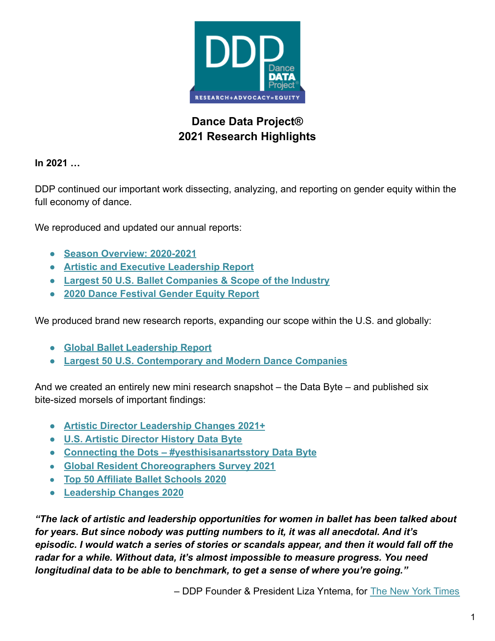

# **Dance Data Project® 2021 Research Highlights**

**In 2021 …**

DDP continued our important work dissecting, analyzing, and reporting on gender equity within the full economy of dance.

We reproduced and updated our annual reports:

- **● [Season Overview: 2020-2021](https://r20.rs6.net/tn.jsp?f=001EIsjTqh4wvVyXjU4pMHYWN7p_CbVsqq1wXvEiuxdrzT7SZaTLmYxYEAgDbVkET9LluNYKgMrOA7-Mip4Vk_dWpv0Ekup59UhjFULxgkZH9_0VtjLL9V72TnjLEyN_S3jEOZtmFJZhbTuH82BAF5eYIrxdXMVkwzQ9h44SVoKTMlDQcWAmElr1bZ4a6IK0CKbnCJhDFzLINy7oeS7hXS55XF625uj6miSFzTSLcPhivUOYs4I08zuhw==&c=5XXDF6Tbozn8gdApq2US5HwPGUUTa7NF75s8vqMcWmL29MHBh43bMg==&ch=LIRpgyV94GlLS1umqHenQBWLi3NVvPhL0E6kuNLX09q4UkhSdy34FQ==)**
- **● [Artistic and Executive Leadership Report](https://r20.rs6.net/tn.jsp?f=001EIsjTqh4wvVyXjU4pMHYWN7p_CbVsqq1wXvEiuxdrzT7SZaTLmYxYKHhFHCnSzxqxw9SVwcys375pNPINxoy5SFNICZGcLUgUaj0Rn0V-pivNHLymqHe8L1PZnxWcupLYxmiSGYNhCXhZJknsprd8kVOAcvLIF-R_bO_ziYuBhRA387zTNKlPCtfMMcHdlGp5j3m0hiXRb8M36CmEmm9G_wQJUEq9hjdLhPLPGK-hkXXfvCdCFfOUz9BwoUffT27inX2nMBMGhyWPJGe2wmPKg==&c=5XXDF6Tbozn8gdApq2US5HwPGUUTa7NF75s8vqMcWmL29MHBh43bMg==&ch=LIRpgyV94GlLS1umqHenQBWLi3NVvPhL0E6kuNLX09q4UkhSdy34FQ==)**
- **● [Largest 50 U.S. Ballet Companies & Scope of the Industry](https://r20.rs6.net/tn.jsp?f=001EIsjTqh4wvVyXjU4pMHYWN7p_CbVsqq1wXvEiuxdrzT7SZaTLmYxYIbSMbk77tWYfAqmdqGsqXTufgganxP1CTQdz3EI4sy8OhfB4EIGuN5UDb-7cXT1niMybM-FzJ8LTxYcjfmVVpkvEwxij7DKKz87IaUo986uvMIiHmzzSvIjNqov_8NjuGiA6BVT79MWg1Crzon5g3YgND7dEbF3LKq63LSl8apNP7K2udA910mXHKQbNCGQotoSJ2bC6mBK54SrccVr_PFpRfPFO6RgM6-anVzRfdwjllBJro9DLl0=&c=5XXDF6Tbozn8gdApq2US5HwPGUUTa7NF75s8vqMcWmL29MHBh43bMg==&ch=LIRpgyV94GlLS1umqHenQBWLi3NVvPhL0E6kuNLX09q4UkhSdy34FQ==)**
- **● [2020 Dance Festival Gender Equity Report](https://r20.rs6.net/tn.jsp?f=001EIsjTqh4wvVyXjU4pMHYWN7p_CbVsqq1wXvEiuxdrzT7SZaTLmYxYPxpPR6nICIbF1w8lrwi_UKGGwa_UXutRRKsEmjm0apjcxYrwKDtfuRDluBl7MfAsVvTanGGvCAUR8N6RtoQshgtdHSZ2FzKVzRu5N6aCd7JMkATA4XHVemMPK2swpR6DZjzxsXRgxfntoMfCRpDT8Sa7A3faRr8N1KwfLlzXp6b_R3wEhiDi-Y=&c=5XXDF6Tbozn8gdApq2US5HwPGUUTa7NF75s8vqMcWmL29MHBh43bMg==&ch=LIRpgyV94GlLS1umqHenQBWLi3NVvPhL0E6kuNLX09q4UkhSdy34FQ==)**

We produced brand new research reports, expanding our scope within the U.S. and globally:

- **● [Global Ballet Leadership Report](https://r20.rs6.net/tn.jsp?f=001EIsjTqh4wvVyXjU4pMHYWN7p_CbVsqq1wXvEiuxdrzT7SZaTLmYxYAkTGyG4uX8UuCLlt43orBt1ZonoE8dhwCfEq1KQcjMGI3rS0odxuQXH2uNs0ynk1-CuKEp9cCSj7YLqaUHn6JaQLozu8vSb8s8e74Ss_fsUaEr9CnU79e1Wr-Uin0Ibuz95ulIVCk5-KVErOksxxbE8l5ZUZTnBVHa9GxggX79vEz_8rni-orx3dBgiBCaurbmhqqS1rG0Sj5ZecGUMlGo=&c=5XXDF6Tbozn8gdApq2US5HwPGUUTa7NF75s8vqMcWmL29MHBh43bMg==&ch=LIRpgyV94GlLS1umqHenQBWLi3NVvPhL0E6kuNLX09q4UkhSdy34FQ==)**
- **● [Largest 50 U.S. Contemporary and Modern Dance Companies](https://r20.rs6.net/tn.jsp?f=001EIsjTqh4wvVyXjU4pMHYWN7p_CbVsqq1wXvEiuxdrzT7SZaTLmYxYDyzPj26L5W3OH5BRx3BUCi4dzZnWsACPIiHmtmmn9BzljItjUmnIBpZcFoYs0re8VwOCGpxWCESl3C3S4iCanMPEm85KpW0e04CXapQdaJCnN0QG-V0ipHQP-KKibtuO_jd6nw2iQOkrd_W2LGn_cIC1a7ZF7WZdR38ho5ZvULxpYyi8R-6mp8QrryIfRp4MR3eP42KQryZd2HED26FDD5xoWT55q008wWH3W-JSRj1KqHbM8F6ypM=&c=5XXDF6Tbozn8gdApq2US5HwPGUUTa7NF75s8vqMcWmL29MHBh43bMg==&ch=LIRpgyV94GlLS1umqHenQBWLi3NVvPhL0E6kuNLX09q4UkhSdy34FQ==)**

And we created an entirely new mini research snapshot – the Data Byte – and published six bite-sized morsels of important findings:

- **● [Artistic Director Leadership Changes 2021+](https://r20.rs6.net/tn.jsp?f=001EIsjTqh4wvVyXjU4pMHYWN7p_CbVsqq1wXvEiuxdrzT7SZaTLmYxYL3i0PDWLQeP06YGQ-eWfqLfttpW4cTY0q4NkOdKjqlGPkHkXl61vG5GwwWqh3zNT6vkCgIpQQv63MMjW9eNHAR6tDMuJpFwxyHtC0a9PX8hG_6Gj_uhsDIeA8hteSOjcuue98uoC3dvIGhu865o_t6lFxPNasKUa-LtuH-J9SQ4EOrUZOufNta2-mrkeebfhFihnnl_cREBlBHZ-k_7-uY=&c=5XXDF6Tbozn8gdApq2US5HwPGUUTa7NF75s8vqMcWmL29MHBh43bMg==&ch=LIRpgyV94GlLS1umqHenQBWLi3NVvPhL0E6kuNLX09q4UkhSdy34FQ==)**
- **● [U.S. Artistic Director History Data Byte](https://r20.rs6.net/tn.jsp?f=001EIsjTqh4wvVyXjU4pMHYWN7p_CbVsqq1wXvEiuxdrzT7SZaTLmYxYJhUoaZ82yjdyFBrQo10vClznRKS9D1K7RFTTBvoxZjRCLvKlLzwNECB_8ADxGK6wdSA-owcb6doVa_qxUGVGIHxjvlcAXNSDKU02V8pB_-RbNn1X0CEnurE8Ff-9k_Siyi7ka2LJKNrPOxvPJUu9qeF01wvXrrs2QcX98Y5zeqkW2BkuAFEu9eJ7GanpD28lI1XhOcJUQbR&c=5XXDF6Tbozn8gdApq2US5HwPGUUTa7NF75s8vqMcWmL29MHBh43bMg==&ch=LIRpgyV94GlLS1umqHenQBWLi3NVvPhL0E6kuNLX09q4UkhSdy34FQ==)**
- **● [Connecting the Dots #yesthisisanartsstory Data Byte](https://www.dancedataproject.com/wp-content/uploads/2021/04/Connecting-the-dots-YEs-this-is-an-arts-story.pdf)**
- **[Global Resident Choreographers Survey 2021](https://r20.rs6.net/tn.jsp?f=001EIsjTqh4wvVyXjU4pMHYWN7p_CbVsqq1wXvEiuxdrzT7SZaTLmYxYJUU2PP6JqcGUbLkzjDEw9zFo0FeL3JzFQlyv-0wj-LCvVlI25-HnlQ-olWkEXUe1czeTDOpnqaWM6_qydoNlf2ValAMFXQ-sB5vb4sX2-OU_AkcMCi2SFOjSsylFqKG7mr0YTVye5JnuMQvEKU_Gjqk6HZuqxh872Vg3smvq1XwMYdNzRK1TkofQh7ieEVi7-V8syizQzNR_X0E2ZtB-q1f2vHUYySjGJ5N3mboINKJ&c=5XXDF6Tbozn8gdApq2US5HwPGUUTa7NF75s8vqMcWmL29MHBh43bMg==&ch=LIRpgyV94GlLS1umqHenQBWLi3NVvPhL0E6kuNLX09q4UkhSdy34FQ==)**
- **[Top 50 Affiliate Ballet Schools 2020](https://r20.rs6.net/tn.jsp?f=001EIsjTqh4wvVyXjU4pMHYWN7p_CbVsqq1wXvEiuxdrzT7SZaTLmYxYHGfM6ZuFz2DzXuBbXEK9-f29WZ-6JmobaMmSvYO0mkmx_WQPVUzBVKUOXFwhGD3nQuCtCr4Tl8k4VEmqiQISo9evpf_3vcIAZ9M9aa1fpJbBYKQEpg4eywwDDCSLXLq65m3d56tN5_zaD-cIaruPJP4F2UbANphKZeSoKKEkECvBWoFDvjJuCLUTkKP78-4G3aYkxK72bR1&c=5XXDF6Tbozn8gdApq2US5HwPGUUTa7NF75s8vqMcWmL29MHBh43bMg==&ch=LIRpgyV94GlLS1umqHenQBWLi3NVvPhL0E6kuNLX09q4UkhSdy34FQ==)**
- **● [Leadership Changes 2020](https://r20.rs6.net/tn.jsp?f=001EIsjTqh4wvVyXjU4pMHYWN7p_CbVsqq1wXvEiuxdrzT7SZaTLmYxYEMn0hO2-7Ckg3cVvqsEKtijed4WhDnqEXm1TDTf11uUfFdv4kxXT5JKoJD3_5fKpF3stXSTBaEZDRjZ3G9aemSDbbdtzPgHKvmJEdElBgDk2uI6L8fWIISr9mNIPjePPMlqGqyKvcdKen8fVeGCp-pPaGcZyWQoqSoQToTCQfios4hIzmjU2sNK3QyI5s2dnnm5aiuxnnAIrcSgYjADDeo=&c=5XXDF6Tbozn8gdApq2US5HwPGUUTa7NF75s8vqMcWmL29MHBh43bMg==&ch=LIRpgyV94GlLS1umqHenQBWLi3NVvPhL0E6kuNLX09q4UkhSdy34FQ==)**

*"The lack of artistic and leadership opportunities for women in ballet has been talked about for years. But since nobody was putting numbers to it, it was all anecdotal. And it's episodic. I would watch a series of stories or scandals appear, and then it would fall off the radar for a while. Without data, it's almost impossible to measure progress. You need longitudinal data to be able to benchmark, to get a sense of where you're going."*

*–* DDP Founder & President Liza Yntema, for The New [York Times](https://r20.rs6.net/tn.jsp?f=001EIsjTqh4wvVyXjU4pMHYWN7p_CbVsqq1wXvEiuxdrzT7SZaTLmYxYA8unCqR_8eLkq7v0KO2LhUuMRXecG1U838-qjk0rpwx0Ywx3QUoWwc1gH_f2VDkmnRDo5uSUfb4HgLUsbmIY36r94JI_Deidw69deBbVfCi8XbC8WLMhfX46ZT5tFJh7ARvGiUjOSkdL_AncPp-FoyEqxsixrM4mg==&c=5XXDF6Tbozn8gdApq2US5HwPGUUTa7NF75s8vqMcWmL29MHBh43bMg==&ch=LIRpgyV94GlLS1umqHenQBWLi3NVvPhL0E6kuNLX09q4UkhSdy34FQ==)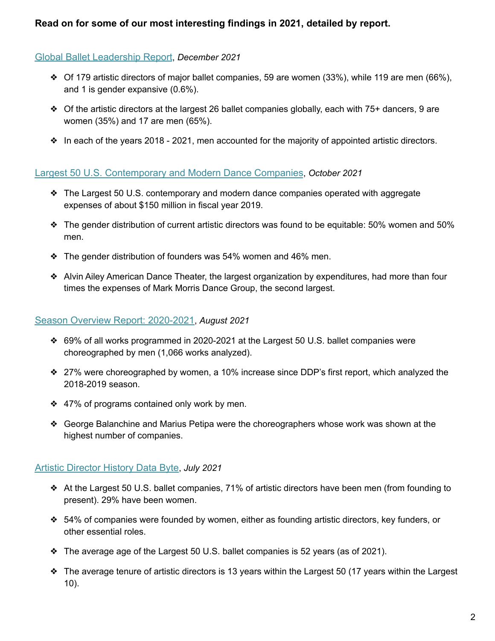## **Read on for some of our most interesting findings in 2021, detailed by report.**

#### [Global Ballet Leadership Report](https://www.dancedataproject.com/wp-content/uploads/2021/12/2020-2021-GLobal-Ballet-Leadership-Report.pdf), *December 2021*

- ❖ Of 179 artistic directors of major ballet companies, 59 are women (33%), while 119 are men (66%), and 1 is gender expansive (0.6%).
- $\triangle$  Of the artistic directors at the largest 26 ballet companies globally, each with 75+ dancers, 9 are women (35%) and 17 are men (65%).
- $\bullet$  In each of the years 2018 2021, men accounted for the majority of appointed artistic directors.

## [Largest 50 U.S. Contemporary and Modern Dance Companies](https://www.dancedataproject.com/wp-content/uploads/2021/10/September-2021-Largest-50-US-Contemporary-and-Modern-Dance-Companies.pdf), *October 2021*

- ❖ The Largest 50 U.S. contemporary and modern dance companies operated with aggregate expenses of about \$150 million in fiscal year 2019.
- ❖ The gender distribution of current artistic directors was found to be equitable: 50% women and 50% men.
- ❖ The gender distribution of founders was 54% women and 46% men.
- ❖ Alvin Ailey American Dance Theater, the largest organization by expenditures, had more than four times the expenses of Mark Morris Dance Group, the second largest.

#### [Season Overview Report: 2020-2021](https://www.dancedataproject.com/wp-content/uploads/2021/08/2020-2021-Season-Overview.pdf), *August 2021*

- ❖ 69% of all works programmed in 2020-2021 at the Largest 50 U.S. ballet companies were choreographed by men (1,066 works analyzed).
- ❖ 27% were choreographed by women, a 10% increase since DDP's first report, which analyzed the 2018-2019 season.
- ❖ 47% of programs contained only work by men.
- ❖ George Balanchine and Marius Petipa were the choreographers whose work was shown at the highest number of companies.

## [Artistic Director History Data Byte](https://www.dancedataproject.com/wp-content/uploads/2021/07/DDP-Artistic-Director-History-Databyte.pdf), *July 2021*

- ❖ At the Largest 50 U.S. ballet companies, 71% of artistic directors have been men (from founding to present). 29% have been women.
- ❖ 54% of companies were founded by women, either as founding artistic directors, key funders, or other essential roles.
- ❖ The average age of the Largest 50 U.S. ballet companies is 52 years (as of 2021).
- ❖ The average tenure of artistic directors is 13 years within the Largest 50 (17 years within the Largest 10).